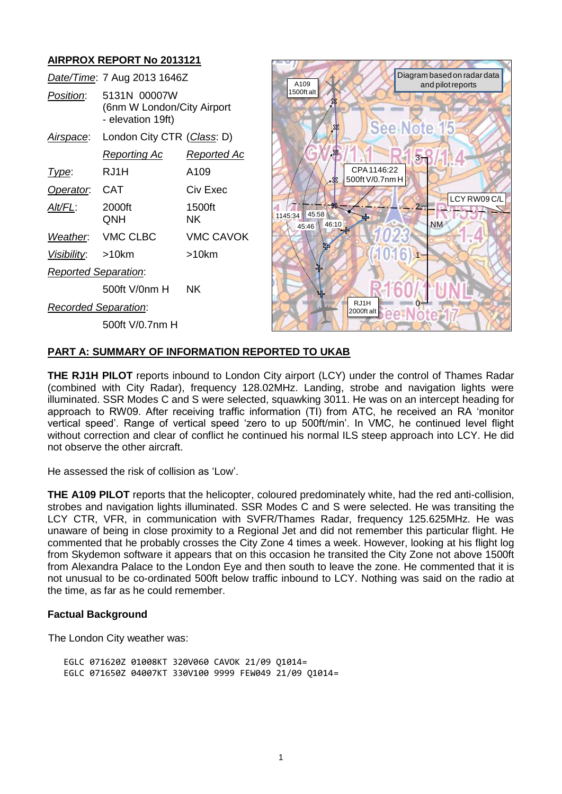# **AIRPROX REPORT No 2013121**

*Date/Time*: 7 Aug 2013 1646Z *Position*: 5131N 00007W (6nm W London/City Airport - elevation 19ft) *Airspace*: London City CTR (*Class*: D) *Reporting Ac Reported Ac Type*: RJ1H A109 **Operator: CAT** Civ Exec *Alt/FL*: 2000ft 1500ft QNH NK *Weather*: VMC CLBC VMC CAVOK *Visibility*: >10km >10km *Reported Separation*: 500ft V/0nm H NK *Recorded Separation*: 500ft V/0.7nm H



### **PART A: SUMMARY OF INFORMATION REPORTED TO UKAB**

**THE RJ1H PILOT** reports inbound to London City airport (LCY) under the control of Thames Radar (combined with City Radar), frequency 128.02MHz. Landing, strobe and navigation lights were illuminated. SSR Modes C and S were selected, squawking 3011. He was on an intercept heading for approach to RW09. After receiving traffic information (TI) from ATC, he received an RA 'monitor vertical speed'. Range of vertical speed 'zero to up 500ft/min'. In VMC, he continued level flight without correction and clear of conflict he continued his normal ILS steep approach into LCY. He did not observe the other aircraft.

He assessed the risk of collision as 'Low'.

**THE A109 PILOT** reports that the helicopter, coloured predominately white, had the red anti-collision, strobes and navigation lights illuminated. SSR Modes C and S were selected. He was transiting the LCY CTR, VFR, in communication with SVFR/Thames Radar, frequency 125.625MHz. He was unaware of being in close proximity to a Regional Jet and did not remember this particular flight. He commented that he probably crosses the City Zone 4 times a week. However, looking at his flight log from Skydemon software it appears that on this occasion he transited the City Zone not above 1500ft from Alexandra Palace to the London Eye and then south to leave the zone. He commented that it is not unusual to be co-ordinated 500ft below traffic inbound to LCY. Nothing was said on the radio at the time, as far as he could remember.

### **Factual Background**

The London City weather was:

EGLC 071620Z 01008KT 320V060 CAVOK 21/09 Q1014= EGLC 071650Z 04007KT 330V100 9999 FEW049 21/09 Q1014=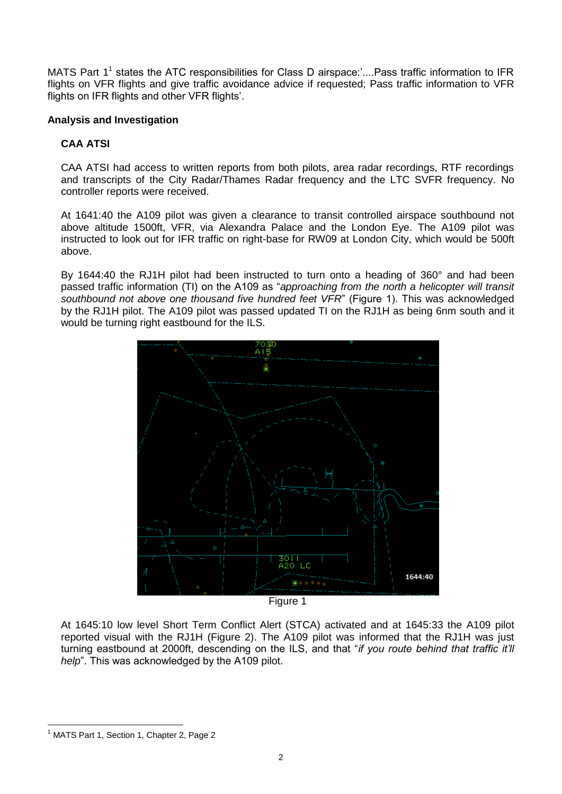MATS Part 1<sup>1</sup> states the ATC responsibilities for Class D airspace:'....Pass traffic information to IFR flights on VFR flights and give traffic avoidance advice if requested; Pass traffic information to VFR flights on IFR flights and other VFR flights'.

## **Analysis and Investigation**

## **CAA ATSI**

CAA ATSI had access to written reports from both pilots, area radar recordings, RTF recordings and transcripts of the City Radar/Thames Radar frequency and the LTC SVFR frequency. No controller reports were received.

At 1641:40 the A109 pilot was given a clearance to transit controlled airspace southbound not above altitude 1500ft, VFR, via Alexandra Palace and the London Eye. The A109 pilot was instructed to look out for IFR traffic on right-base for RW09 at London City, which would be 500ft above.

By 1644:40 the RJ1H pilot had been instructed to turn onto a heading of 360° and had been passed traffic information (TI) on the A109 as "*approaching from the north a helicopter will transit southbound not above one thousand five hundred feet VFR*" (Figure 1). This was acknowledged by the RJ1H pilot. The A109 pilot was passed updated TI on the RJ1H as being 6nm south and it would be turning right eastbound for the ILS.



Figure 1

At 1645:10 low level Short Term Conflict Alert (STCA) activated and at 1645:33 the A109 pilot reported visual with the RJ1H (Figure 2). The A109 pilot was informed that the RJ1H was just turning eastbound at 2000ft, descending on the ILS, and that "*if you route behind that traffic it'll help*". This was acknowledged by the A109 pilot.

 $\overline{a}$ 

<sup>&</sup>lt;sup>1</sup> MATS Part 1, Section 1, Chapter 2, Page 2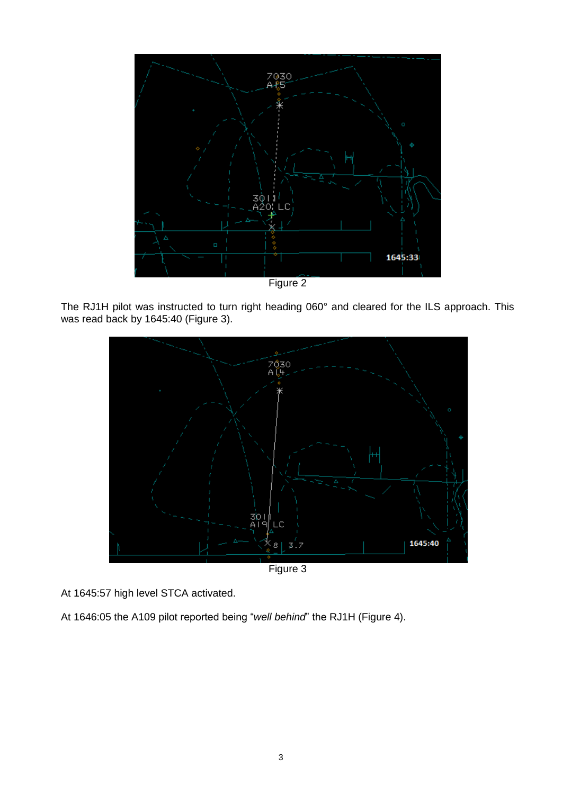

Figure 2

The RJ1H pilot was instructed to turn right heading 060° and cleared for the ILS approach. This was read back by 1645:40 (Figure 3).



Figure 3

At 1645:57 high level STCA activated.

At 1646:05 the A109 pilot reported being "*well behind*" the RJ1H (Figure 4).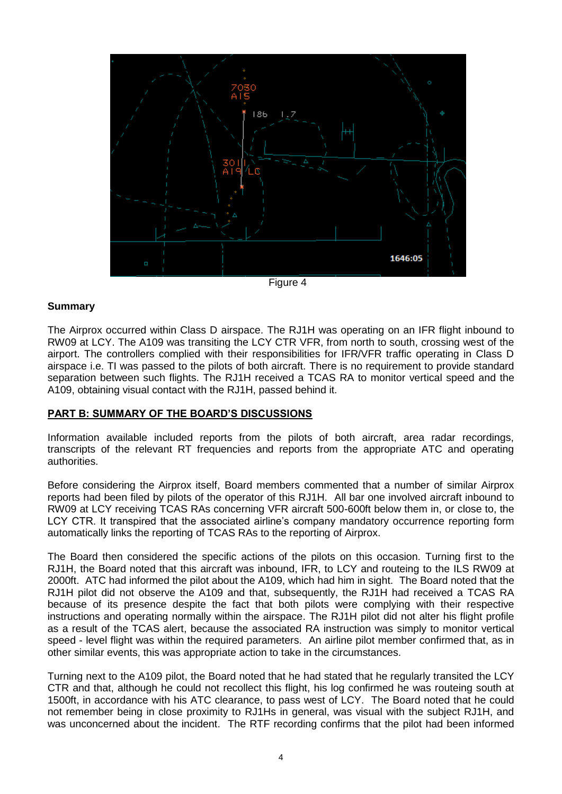

Figure 4

#### **Summary**

The Airprox occurred within Class D airspace. The RJ1H was operating on an IFR flight inbound to RW09 at LCY. The A109 was transiting the LCY CTR VFR, from north to south, crossing west of the airport. The controllers complied with their responsibilities for IFR/VFR traffic operating in Class D airspace i.e. TI was passed to the pilots of both aircraft. There is no requirement to provide standard separation between such flights. The RJ1H received a TCAS RA to monitor vertical speed and the A109, obtaining visual contact with the RJ1H, passed behind it.

### **PART B: SUMMARY OF THE BOARD'S DISCUSSIONS**

Information available included reports from the pilots of both aircraft, area radar recordings, transcripts of the relevant RT frequencies and reports from the appropriate ATC and operating authorities.

Before considering the Airprox itself, Board members commented that a number of similar Airprox reports had been filed by pilots of the operator of this RJ1H. All bar one involved aircraft inbound to RW09 at LCY receiving TCAS RAs concerning VFR aircraft 500-600ft below them in, or close to, the LCY CTR. It transpired that the associated airline's company mandatory occurrence reporting form automatically links the reporting of TCAS RAs to the reporting of Airprox.

The Board then considered the specific actions of the pilots on this occasion. Turning first to the RJ1H, the Board noted that this aircraft was inbound, IFR, to LCY and routeing to the ILS RW09 at 2000ft. ATC had informed the pilot about the A109, which had him in sight. The Board noted that the RJ1H pilot did not observe the A109 and that, subsequently, the RJ1H had received a TCAS RA because of its presence despite the fact that both pilots were complying with their respective instructions and operating normally within the airspace. The RJ1H pilot did not alter his flight profile as a result of the TCAS alert, because the associated RA instruction was simply to monitor vertical speed - level flight was within the required parameters. An airline pilot member confirmed that, as in other similar events, this was appropriate action to take in the circumstances.

Turning next to the A109 pilot, the Board noted that he had stated that he regularly transited the LCY CTR and that, although he could not recollect this flight, his log confirmed he was routeing south at 1500ft, in accordance with his ATC clearance, to pass west of LCY. The Board noted that he could not remember being in close proximity to RJ1Hs in general, was visual with the subject RJ1H, and was unconcerned about the incident. The RTF recording confirms that the pilot had been informed